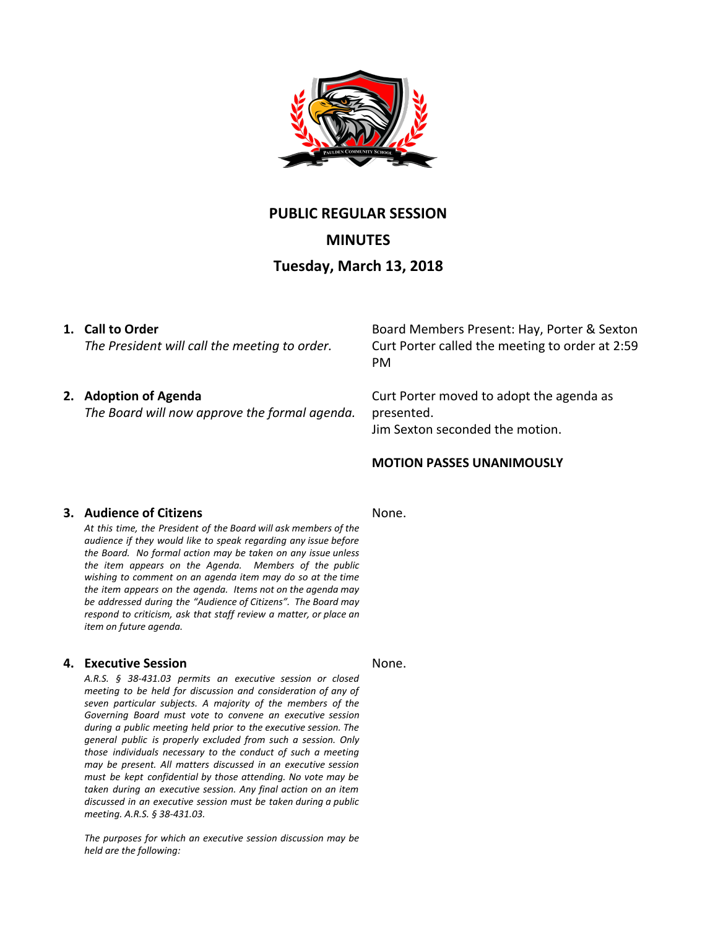

# **PUBLIC REGULAR SESSION**

**MINUTES**

# **Tuesday, March 13, 2018**

# **1. Call to Order**

*The President will call the meeting to order.*

# **2. Adoption of Agenda**

*The Board will now approve the formal agenda.*

Board Members Present: Hay, Porter & Sexton Curt Porter called the meeting to order at 2:59 PM

Curt Porter moved to adopt the agenda as presented. Jim Sexton seconded the motion.

# **MOTION PASSES UNANIMOUSLY**

## **3. Audience of Citizens**

*At this time, the President of the Board will ask members of the audience if they would like to speak regarding any issue before the Board. No formal action may be taken on any issue unless the item appears on the Agenda. Members of the public wishing to comment on an agenda item may do so at the time the item appears on the agenda. Items not on the agenda may be addressed during the "Audience of Citizens". The Board may respond to criticism, ask that staff review a matter, or place an item on future agenda.*

## **4. Executive Session**

*A.R.S. § 38-431.03 permits an executive session or closed meeting to be held for discussion and consideration of any of seven particular subjects. A majority of the members of the Governing Board must vote to convene an executive session during a public meeting held prior to the executive session. The general public is properly excluded from such a session. Only those individuals necessary to the conduct of such a meeting may be present. All matters discussed in an executive session must be kept confidential by those attending. No vote may be taken during an executive session. Any final action on an item discussed in an executive session must be taken during a public meeting. A.R.S. § 38-431.03.*

*The purposes for which an executive session discussion may be held are the following:*

None.

#### None.